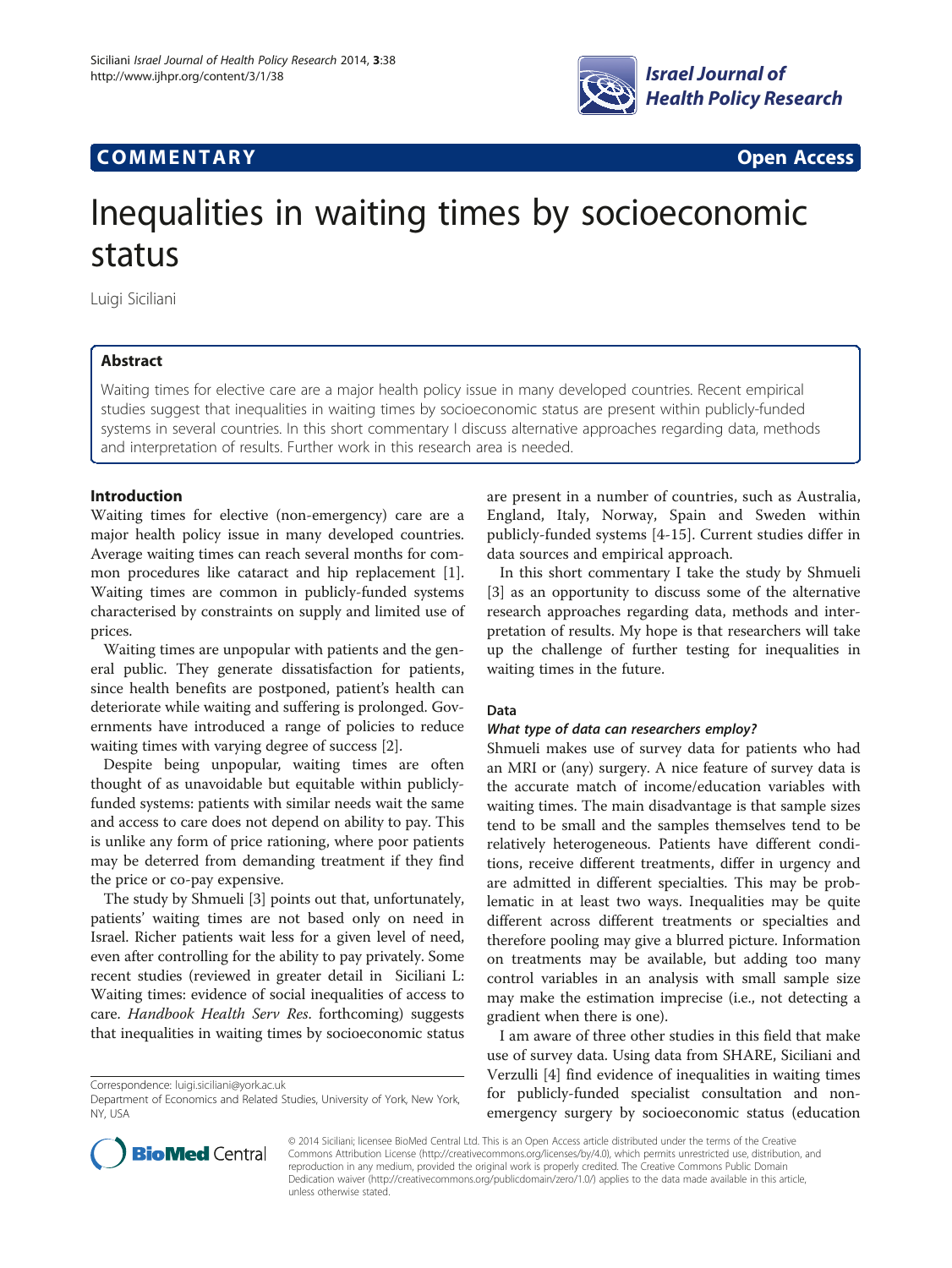

# **COMMENTARY COMMENTARY Open Access**

# Inequalities in waiting times by socioeconomic status

Luigi Siciliani

### Abstract

Waiting times for elective care are a major health policy issue in many developed countries. Recent empirical studies suggest that inequalities in waiting times by socioeconomic status are present within publicly-funded systems in several countries. In this short commentary I discuss alternative approaches regarding data, methods and interpretation of results. Further work in this research area is needed.

### Introduction

Waiting times for elective (non-emergency) care are a major health policy issue in many developed countries. Average waiting times can reach several months for common procedures like cataract and hip replacement [\[1](#page-2-0)]. Waiting times are common in publicly-funded systems characterised by constraints on supply and limited use of prices.

Waiting times are unpopular with patients and the general public. They generate dissatisfaction for patients, since health benefits are postponed, patient's health can deteriorate while waiting and suffering is prolonged. Governments have introduced a range of policies to reduce waiting times with varying degree of success [[2\]](#page-2-0).

Despite being unpopular, waiting times are often thought of as unavoidable but equitable within publiclyfunded systems: patients with similar needs wait the same and access to care does not depend on ability to pay. This is unlike any form of price rationing, where poor patients may be deterred from demanding treatment if they find the price or co-pay expensive.

The study by Shmueli [[3](#page-2-0)] points out that, unfortunately, patients' waiting times are not based only on need in Israel. Richer patients wait less for a given level of need, even after controlling for the ability to pay privately. Some recent studies (reviewed in greater detail in Siciliani L: Waiting times: evidence of social inequalities of access to care. Handbook Health Serv Res. forthcoming) suggests that inequalities in waiting times by socioeconomic status



In this short commentary I take the study by Shmueli [[3\]](#page-2-0) as an opportunity to discuss some of the alternative research approaches regarding data, methods and interpretation of results. My hope is that researchers will take up the challenge of further testing for inequalities in waiting times in the future.

### Data

## What type of data can researchers employ?

Shmueli makes use of survey data for patients who had an MRI or (any) surgery. A nice feature of survey data is the accurate match of income/education variables with waiting times. The main disadvantage is that sample sizes tend to be small and the samples themselves tend to be relatively heterogeneous. Patients have different conditions, receive different treatments, differ in urgency and are admitted in different specialties. This may be problematic in at least two ways. Inequalities may be quite different across different treatments or specialties and therefore pooling may give a blurred picture. Information on treatments may be available, but adding too many control variables in an analysis with small sample size may make the estimation imprecise (i.e., not detecting a gradient when there is one).

I am aware of three other studies in this field that make use of survey data. Using data from SHARE, Siciliani and Verzulli [\[4\]](#page-2-0) find evidence of inequalities in waiting times for publicly-funded specialist consultation and nonemergency surgery by socioeconomic status (education



© 2014 Siciliani; licensee BioMed Central Ltd. This is an Open Access article distributed under the terms of the Creative Commons Attribution License [\(http://creativecommons.org/licenses/by/4.0\)](http://creativecommons.org/licenses/by/4.0), which permits unrestricted use, distribution, and reproduction in any medium, provided the original work is properly credited. The Creative Commons Public Domain Dedication waiver [\(http://creativecommons.org/publicdomain/zero/1.0/](http://creativecommons.org/publicdomain/zero/1.0/)) applies to the data made available in this article, unless otherwise stated.

Correspondence: [luigi.siciliani@york.ac.uk](mailto:luigi.siciliani@york.ac.uk)

Department of Economics and Related Studies, University of York, New York, NY, USA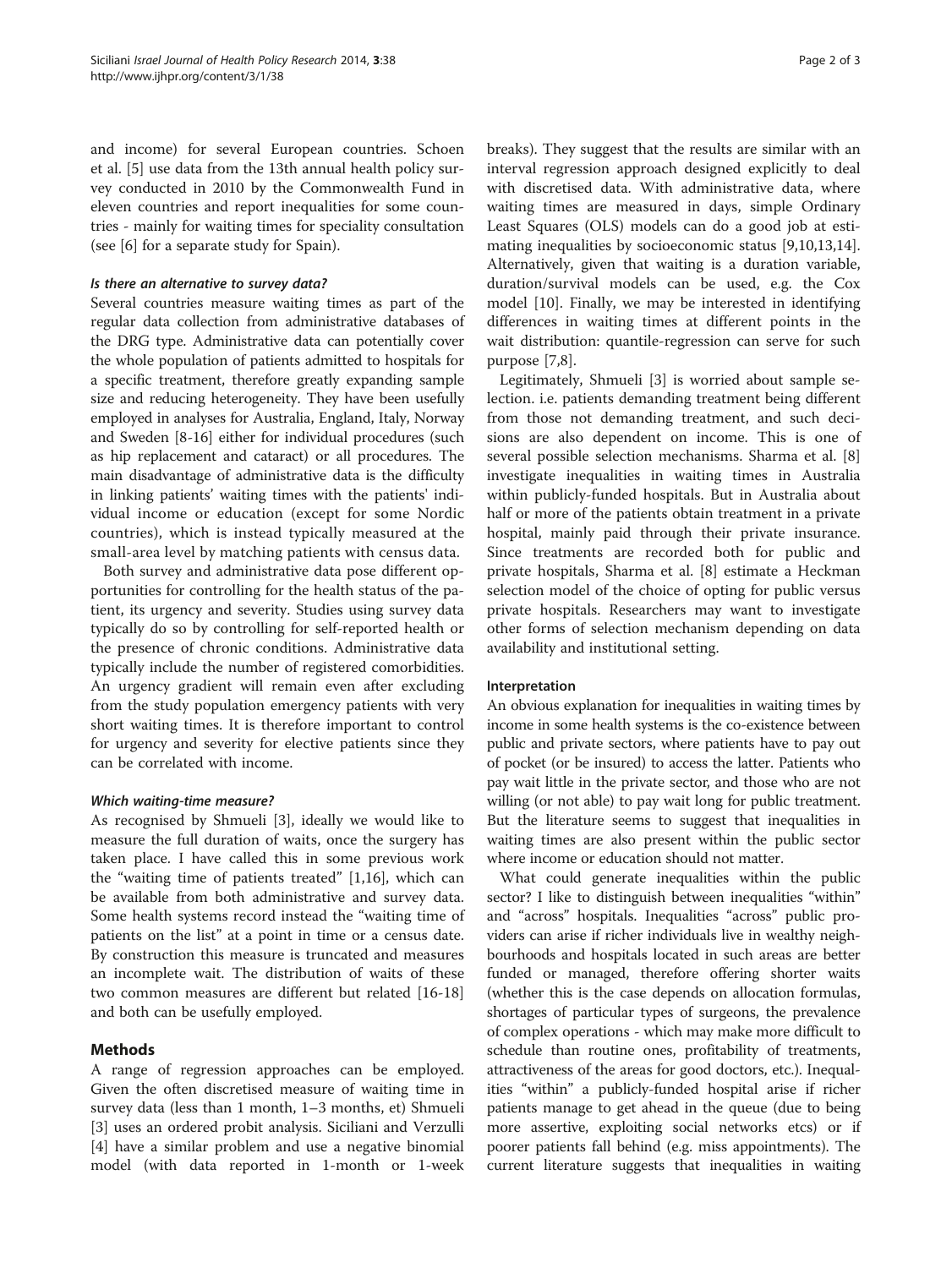and income) for several European countries. Schoen et al. [\[5](#page-2-0)] use data from the 13th annual health policy survey conducted in 2010 by the Commonwealth Fund in eleven countries and report inequalities for some countries - mainly for waiting times for speciality consultation (see [\[6](#page-2-0)] for a separate study for Spain).

### Is there an alternative to survey data?

Several countries measure waiting times as part of the regular data collection from administrative databases of the DRG type. Administrative data can potentially cover the whole population of patients admitted to hospitals for a specific treatment, therefore greatly expanding sample size and reducing heterogeneity. They have been usefully employed in analyses for Australia, England, Italy, Norway and Sweden [\[8](#page-2-0)-[16](#page-2-0)] either for individual procedures (such as hip replacement and cataract) or all procedures. The main disadvantage of administrative data is the difficulty in linking patients' waiting times with the patients' individual income or education (except for some Nordic countries), which is instead typically measured at the small-area level by matching patients with census data.

Both survey and administrative data pose different opportunities for controlling for the health status of the patient, its urgency and severity. Studies using survey data typically do so by controlling for self-reported health or the presence of chronic conditions. Administrative data typically include the number of registered comorbidities. An urgency gradient will remain even after excluding from the study population emergency patients with very short waiting times. It is therefore important to control for urgency and severity for elective patients since they can be correlated with income.

### Which waiting-time measure?

As recognised by Shmueli [\[3](#page-2-0)], ideally we would like to measure the full duration of waits, once the surgery has taken place. I have called this in some previous work the "waiting time of patients treated" [\[1,16](#page-2-0)], which can be available from both administrative and survey data. Some health systems record instead the "waiting time of patients on the list" at a point in time or a census date. By construction this measure is truncated and measures an incomplete wait. The distribution of waits of these two common measures are different but related [\[16](#page-2-0)-[18](#page-2-0)] and both can be usefully employed.

### Methods

A range of regression approaches can be employed. Given the often discretised measure of waiting time in survey data (less than 1 month, 1–3 months, et) Shmueli [[3\]](#page-2-0) uses an ordered probit analysis. Siciliani and Verzulli [[4\]](#page-2-0) have a similar problem and use a negative binomial model (with data reported in 1-month or 1-week

breaks). They suggest that the results are similar with an interval regression approach designed explicitly to deal with discretised data. With administrative data, where waiting times are measured in days, simple Ordinary Least Squares (OLS) models can do a good job at estimating inequalities by socioeconomic status [\[9](#page-2-0),[10,13,14](#page-2-0)]. Alternatively, given that waiting is a duration variable, duration/survival models can be used, e.g. the Cox model [\[10](#page-2-0)]. Finally, we may be interested in identifying differences in waiting times at different points in the wait distribution: quantile-regression can serve for such purpose [[7](#page-2-0),[8\]](#page-2-0).

Legitimately, Shmueli [\[3](#page-2-0)] is worried about sample selection. i.e. patients demanding treatment being different from those not demanding treatment, and such decisions are also dependent on income. This is one of several possible selection mechanisms. Sharma et al. [\[8](#page-2-0)] investigate inequalities in waiting times in Australia within publicly-funded hospitals. But in Australia about half or more of the patients obtain treatment in a private hospital, mainly paid through their private insurance. Since treatments are recorded both for public and private hospitals, Sharma et al. [\[8\]](#page-2-0) estimate a Heckman selection model of the choice of opting for public versus private hospitals. Researchers may want to investigate other forms of selection mechanism depending on data availability and institutional setting.

An obvious explanation for inequalities in waiting times by income in some health systems is the co-existence between public and private sectors, where patients have to pay out of pocket (or be insured) to access the latter. Patients who pay wait little in the private sector, and those who are not willing (or not able) to pay wait long for public treatment. But the literature seems to suggest that inequalities in waiting times are also present within the public sector where income or education should not matter.

What could generate inequalities within the public sector? I like to distinguish between inequalities "within" and "across" hospitals. Inequalities "across" public providers can arise if richer individuals live in wealthy neighbourhoods and hospitals located in such areas are better funded or managed, therefore offering shorter waits (whether this is the case depends on allocation formulas, shortages of particular types of surgeons, the prevalence of complex operations - which may make more difficult to schedule than routine ones, profitability of treatments, attractiveness of the areas for good doctors, etc.). Inequalities "within" a publicly-funded hospital arise if richer patients manage to get ahead in the queue (due to being more assertive, exploiting social networks etcs) or if poorer patients fall behind (e.g. miss appointments). The current literature suggests that inequalities in waiting